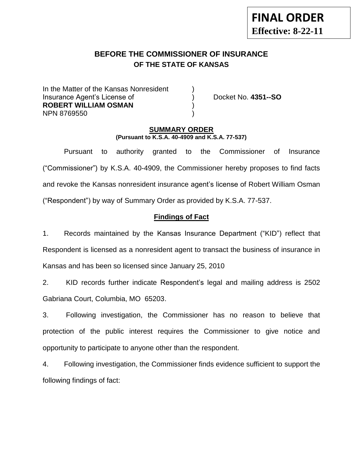# **BEFORE THE COMMISSIONER OF INSURANCE OF THE STATE OF KANSAS**

In the Matter of the Kansas Nonresident Insurance Agent's License of ) Docket No. **4351--SO ROBERT WILLIAM OSMAN** ) NPN 8769550 )

### **SUMMARY ORDER (Pursuant to K.S.A. 40-4909 and K.S.A. 77-537)**

Pursuant to authority granted to the Commissioner of Insurance ("Commissioner") by K.S.A. 40-4909, the Commissioner hereby proposes to find facts and revoke the Kansas nonresident insurance agent's license of Robert William Osman ("Respondent") by way of Summary Order as provided by K.S.A. 77-537.

## **Findings of Fact**

1. Records maintained by the Kansas Insurance Department ("KID") reflect that Respondent is licensed as a nonresident agent to transact the business of insurance in Kansas and has been so licensed since January 25, 2010

2. KID records further indicate Respondent's legal and mailing address is 2502 Gabriana Court, Columbia, MO 65203.

3. Following investigation, the Commissioner has no reason to believe that protection of the public interest requires the Commissioner to give notice and opportunity to participate to anyone other than the respondent.

4. Following investigation, the Commissioner finds evidence sufficient to support the following findings of fact: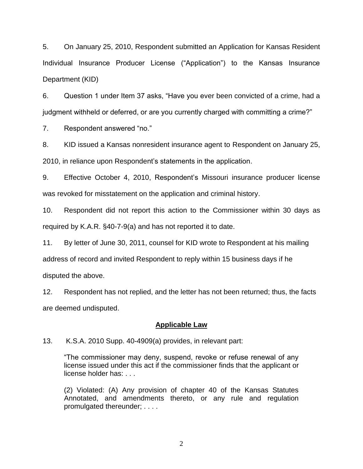5. On January 25, 2010, Respondent submitted an Application for Kansas Resident Individual Insurance Producer License ("Application") to the Kansas Insurance Department (KID)

6. Question 1 under Item 37 asks, "Have you ever been convicted of a crime, had a judgment withheld or deferred, or are you currently charged with committing a crime?"

7. Respondent answered "no."

8. KID issued a Kansas nonresident insurance agent to Respondent on January 25, 2010, in reliance upon Respondent's statements in the application.

9. Effective October 4, 2010, Respondent's Missouri insurance producer license was revoked for misstatement on the application and criminal history.

10. Respondent did not report this action to the Commissioner within 30 days as required by K.A.R. §40-7-9(a) and has not reported it to date.

11. By letter of June 30, 2011, counsel for KID wrote to Respondent at his mailing address of record and invited Respondent to reply within 15 business days if he disputed the above.

12. Respondent has not replied, and the letter has not been returned; thus, the facts are deemed undisputed.

### **Applicable Law**

13. K.S.A. 2010 Supp. 40-4909(a) provides, in relevant part:

"The commissioner may deny, suspend, revoke or refuse renewal of any license issued under this act if the commissioner finds that the applicant or license holder has: . . .

(2) Violated: (A) Any provision of chapter 40 of the Kansas Statutes Annotated, and amendments thereto, or any rule and regulation promulgated thereunder; . . . .

2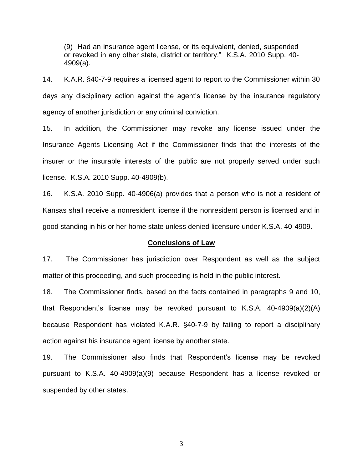(9) Had an insurance agent license, or its equivalent, denied, suspended or revoked in any other state, district or territory." K.S.A. 2010 Supp. 40- 4909(a).

14. K.A.R. §40-7-9 requires a licensed agent to report to the Commissioner within 30 days any disciplinary action against the agent's license by the insurance regulatory agency of another jurisdiction or any criminal conviction.

15. In addition, the Commissioner may revoke any license issued under the Insurance Agents Licensing Act if the Commissioner finds that the interests of the insurer or the insurable interests of the public are not properly served under such license. K.S.A. 2010 Supp. 40-4909(b).

16. K.S.A. 2010 Supp. 40-4906(a) provides that a person who is not a resident of Kansas shall receive a nonresident license if the nonresident person is licensed and in good standing in his or her home state unless denied licensure under K.S.A. 40-4909.

#### **Conclusions of Law**

17. The Commissioner has jurisdiction over Respondent as well as the subject matter of this proceeding, and such proceeding is held in the public interest.

18. The Commissioner finds, based on the facts contained in paragraphs 9 and 10, that Respondent's license may be revoked pursuant to K.S.A. 40-4909(a)(2)(A) because Respondent has violated K.A.R. §40-7-9 by failing to report a disciplinary action against his insurance agent license by another state.

19. The Commissioner also finds that Respondent's license may be revoked pursuant to K.S.A. 40-4909(a)(9) because Respondent has a license revoked or suspended by other states.

3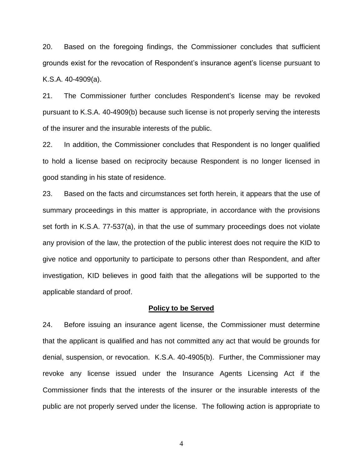20. Based on the foregoing findings, the Commissioner concludes that sufficient grounds exist for the revocation of Respondent's insurance agent's license pursuant to K.S.A. 40-4909(a).

21. The Commissioner further concludes Respondent's license may be revoked pursuant to K.S.A. 40-4909(b) because such license is not properly serving the interests of the insurer and the insurable interests of the public.

22. In addition, the Commissioner concludes that Respondent is no longer qualified to hold a license based on reciprocity because Respondent is no longer licensed in good standing in his state of residence.

23. Based on the facts and circumstances set forth herein, it appears that the use of summary proceedings in this matter is appropriate, in accordance with the provisions set forth in K.S.A. 77-537(a), in that the use of summary proceedings does not violate any provision of the law, the protection of the public interest does not require the KID to give notice and opportunity to participate to persons other than Respondent, and after investigation, KID believes in good faith that the allegations will be supported to the applicable standard of proof.

#### **Policy to be Served**

24. Before issuing an insurance agent license, the Commissioner must determine that the applicant is qualified and has not committed any act that would be grounds for denial, suspension, or revocation. K.S.A. 40-4905(b). Further, the Commissioner may revoke any license issued under the Insurance Agents Licensing Act if the Commissioner finds that the interests of the insurer or the insurable interests of the public are not properly served under the license. The following action is appropriate to

4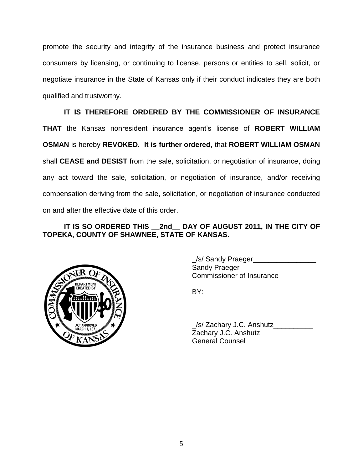promote the security and integrity of the insurance business and protect insurance consumers by licensing, or continuing to license, persons or entities to sell, solicit, or negotiate insurance in the State of Kansas only if their conduct indicates they are both qualified and trustworthy.

**IT IS THEREFORE ORDERED BY THE COMMISSIONER OF INSURANCE THAT** the Kansas nonresident insurance agent's license of **ROBERT WILLIAM OSMAN** is hereby **REVOKED. It is further ordered,** that **ROBERT WILLIAM OSMAN**  shall **CEASE and DESIST** from the sale, solicitation, or negotiation of insurance, doing any act toward the sale, solicitation, or negotiation of insurance, and/or receiving compensation deriving from the sale, solicitation, or negotiation of insurance conducted on and after the effective date of this order.

## **IT IS SO ORDERED THIS \_\_2nd\_\_ DAY OF AUGUST 2011, IN THE CITY OF TOPEKA, COUNTY OF SHAWNEE, STATE OF KANSAS.**



\_/s/ Sandy Praeger\_\_\_\_\_\_\_\_\_\_\_\_\_\_\_\_ Sandy Praeger Commissioner of Insurance

BY:

\_/s/ Zachary J.C. Anshutz\_\_\_\_\_\_\_\_\_\_ Zachary J.C. Anshutz General Counsel